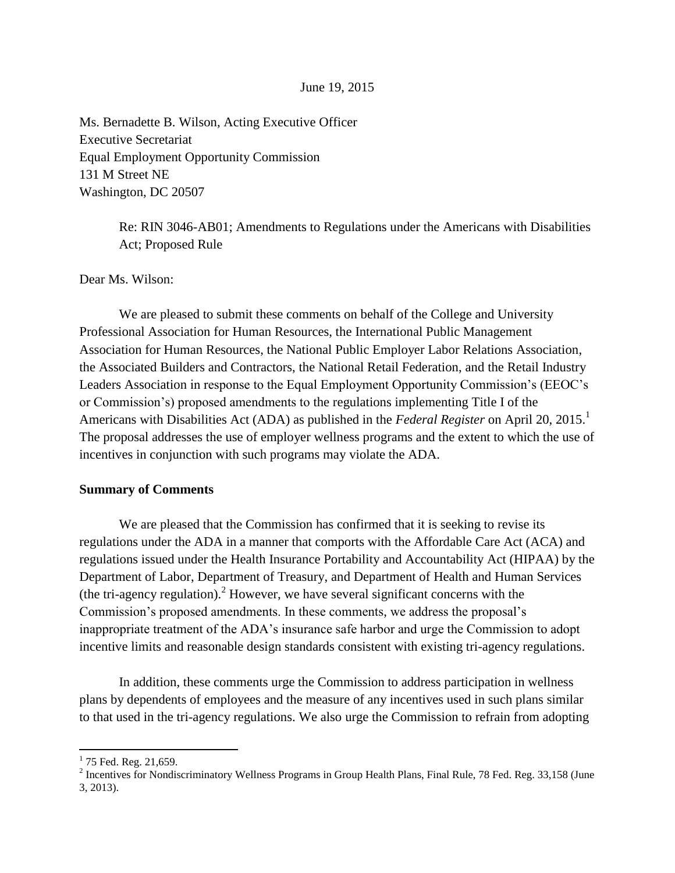### June 19, 2015

Ms. Bernadette B. Wilson, Acting Executive Officer Executive Secretariat Equal Employment Opportunity Commission 131 M Street NE Washington, DC 20507

> Re: RIN 3046-AB01; Amendments to Regulations under the Americans with Disabilities Act; Proposed Rule

Dear Ms. Wilson:

We are pleased to submit these comments on behalf of the College and University Professional Association for Human Resources, the International Public Management Association for Human Resources, the National Public Employer Labor Relations Association, the Associated Builders and Contractors, the National Retail Federation, and the Retail Industry Leaders Association in response to the Equal Employment Opportunity Commission's (EEOC's or Commission's) proposed amendments to the regulations implementing Title I of the Americans with Disabilities Act (ADA) as published in the *Federal Register* on April 20, 2015.<sup>1</sup> The proposal addresses the use of employer wellness programs and the extent to which the use of incentives in conjunction with such programs may violate the ADA.

#### **Summary of Comments**

We are pleased that the Commission has confirmed that it is seeking to revise its regulations under the ADA in a manner that comports with the Affordable Care Act (ACA) and regulations issued under the Health Insurance Portability and Accountability Act (HIPAA) by the Department of Labor, Department of Treasury, and Department of Health and Human Services (the tri-agency regulation).<sup>2</sup> However, we have several significant concerns with the Commission's proposed amendments. In these comments, we address the proposal's inappropriate treatment of the ADA's insurance safe harbor and urge the Commission to adopt incentive limits and reasonable design standards consistent with existing tri-agency regulations.

In addition, these comments urge the Commission to address participation in wellness plans by dependents of employees and the measure of any incentives used in such plans similar to that used in the tri-agency regulations. We also urge the Commission to refrain from adopting

 $\overline{\phantom{a}}$ 

 $1$  75 Fed. Reg. 21,659.

<sup>&</sup>lt;sup>2</sup> Incentives for Nondiscriminatory Wellness Programs in Group Health Plans, Final Rule, 78 Fed. Reg. 33,158 (June 3, 2013).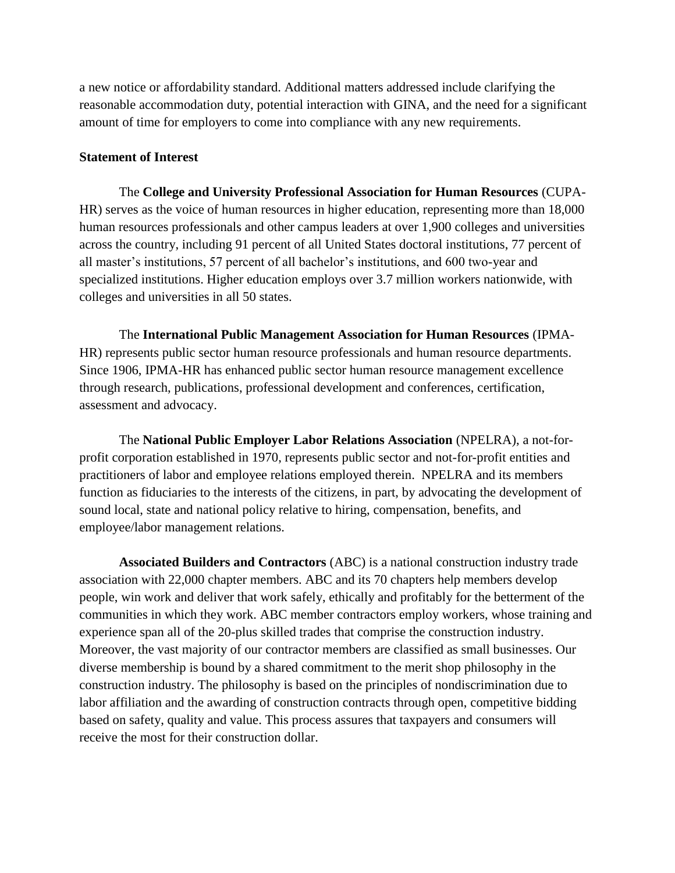a new notice or affordability standard. Additional matters addressed include clarifying the reasonable accommodation duty, potential interaction with GINA, and the need for a significant amount of time for employers to come into compliance with any new requirements.

### **Statement of Interest**

The **College and University Professional Association for Human Resources** (CUPA-HR) serves as the voice of human resources in higher education, representing more than 18,000 human resources professionals and other campus leaders at over 1,900 colleges and universities across the country, including 91 percent of all United States doctoral institutions, 77 percent of all master's institutions, 57 percent of all bachelor's institutions, and 600 two-year and specialized institutions. Higher education employs over 3.7 million workers nationwide, with colleges and universities in all 50 states.

The **International Public Management Association for Human Resources** (IPMA-HR) represents public sector human resource professionals and human resource departments. Since 1906, IPMA-HR has enhanced public sector human resource management excellence through research, publications, professional development and conferences, certification, assessment and advocacy.

The **National Public Employer Labor Relations Association** (NPELRA), a not-forprofit corporation established in 1970, represents public sector and not-for-profit entities and practitioners of labor and employee relations employed therein. NPELRA and its members function as fiduciaries to the interests of the citizens, in part, by advocating the development of sound local, state and national policy relative to hiring, compensation, benefits, and employee/labor management relations.

**Associated Builders and Contractors** (ABC) is a national construction industry trade association with 22,000 chapter members. ABC and its 70 chapters help members develop people, win work and deliver that work safely, ethically and profitably for the betterment of the communities in which they work. ABC member contractors employ workers, whose training and experience span all of the 20-plus skilled trades that comprise the construction industry. Moreover, the vast majority of our contractor members are classified as small businesses. Our diverse membership is bound by a shared commitment to the merit shop philosophy in the construction industry. The philosophy is based on the principles of nondiscrimination due to labor affiliation and the awarding of construction contracts through open, competitive bidding based on safety, quality and value. This process assures that taxpayers and consumers will receive the most for their construction dollar.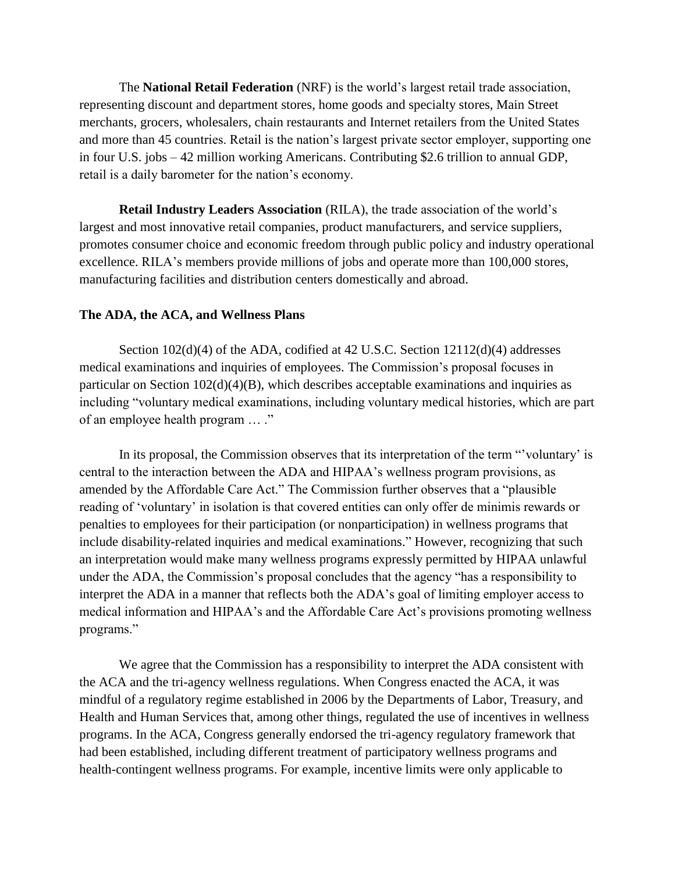The **National Retail Federation** (NRF) is the world's largest retail trade association, representing discount and department stores, home goods and specialty stores, Main Street merchants, grocers, wholesalers, chain restaurants and Internet retailers from the United States and more than 45 countries. Retail is the nation's largest private sector employer, supporting one in four U.S. jobs – 42 million working Americans. Contributing \$2.6 trillion to annual GDP, retail is a daily barometer for the nation's economy.

**Retail Industry Leaders Association** (RILA), the trade association of the world's largest and most innovative retail companies, product manufacturers, and service suppliers, promotes consumer choice and economic freedom through public policy and industry operational excellence. RILA's members provide millions of jobs and operate more than 100,000 stores, manufacturing facilities and distribution centers domestically and abroad.

### **The ADA, the ACA, and Wellness Plans**

Section 102(d)(4) of the ADA, codified at 42 U.S.C. Section 12112(d)(4) addresses medical examinations and inquiries of employees. The Commission's proposal focuses in particular on Section  $102(d)(4)(B)$ , which describes acceptable examinations and inquiries as including "voluntary medical examinations, including voluntary medical histories, which are part of an employee health program … ."

In its proposal, the Commission observes that its interpretation of the term "'voluntary' is central to the interaction between the ADA and HIPAA's wellness program provisions, as amended by the Affordable Care Act." The Commission further observes that a "plausible reading of 'voluntary' in isolation is that covered entities can only offer de minimis rewards or penalties to employees for their participation (or nonparticipation) in wellness programs that include disability-related inquiries and medical examinations." However, recognizing that such an interpretation would make many wellness programs expressly permitted by HIPAA unlawful under the ADA, the Commission's proposal concludes that the agency "has a responsibility to interpret the ADA in a manner that reflects both the ADA's goal of limiting employer access to medical information and HIPAA's and the Affordable Care Act's provisions promoting wellness programs."

We agree that the Commission has a responsibility to interpret the ADA consistent with the ACA and the tri-agency wellness regulations. When Congress enacted the ACA, it was mindful of a regulatory regime established in 2006 by the Departments of Labor, Treasury, and Health and Human Services that, among other things, regulated the use of incentives in wellness programs. In the ACA, Congress generally endorsed the tri-agency regulatory framework that had been established, including different treatment of participatory wellness programs and health-contingent wellness programs. For example, incentive limits were only applicable to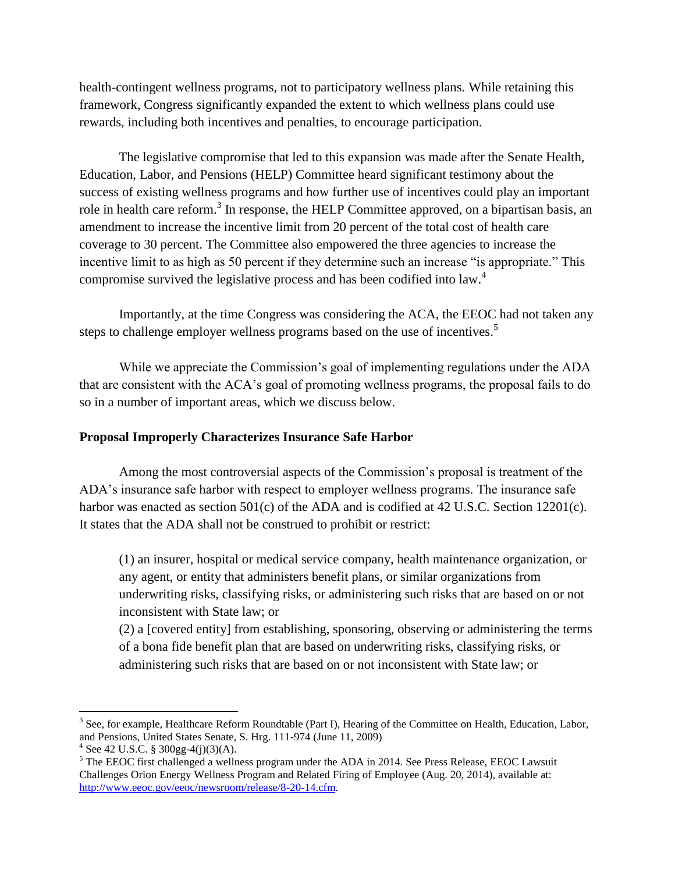health-contingent wellness programs, not to participatory wellness plans. While retaining this framework, Congress significantly expanded the extent to which wellness plans could use rewards, including both incentives and penalties, to encourage participation.

The legislative compromise that led to this expansion was made after the Senate Health, Education, Labor, and Pensions (HELP) Committee heard significant testimony about the success of existing wellness programs and how further use of incentives could play an important role in health care reform.<sup>3</sup> In response, the HELP Committee approved, on a bipartisan basis, an amendment to increase the incentive limit from 20 percent of the total cost of health care coverage to 30 percent. The Committee also empowered the three agencies to increase the incentive limit to as high as 50 percent if they determine such an increase "is appropriate." This compromise survived the legislative process and has been codified into law.<sup>4</sup>

Importantly, at the time Congress was considering the ACA, the EEOC had not taken any steps to challenge employer wellness programs based on the use of incentives.<sup>5</sup>

While we appreciate the Commission's goal of implementing regulations under the ADA that are consistent with the ACA's goal of promoting wellness programs, the proposal fails to do so in a number of important areas, which we discuss below.

## **Proposal Improperly Characterizes Insurance Safe Harbor**

Among the most controversial aspects of the Commission's proposal is treatment of the ADA's insurance safe harbor with respect to employer wellness programs. The insurance safe harbor was enacted as section 501(c) of the ADA and is codified at 42 U.S.C. Section 12201(c). It states that the ADA shall not be construed to prohibit or restrict:

(1) an insurer, hospital or medical service company, health maintenance organization, or any agent, or entity that administers benefit plans, or similar organizations from underwriting risks, classifying risks, or administering such risks that are based on or not inconsistent with State law; or

(2) a [covered entity] from establishing, sponsoring, observing or administering the terms of a bona fide benefit plan that are based on underwriting risks, classifying risks, or administering such risks that are based on or not inconsistent with State law; or

l

<sup>&</sup>lt;sup>3</sup> See, for example, Healthcare Reform Roundtable (Part I), Hearing of the Committee on Health, Education, Labor, and Pensions, United States Senate, S. Hrg. 111-974 (June 11, 2009)

 $4$  See 42 U.S.C. § 300gg-4(j)(3)(A).

<sup>&</sup>lt;sup>5</sup> The EEOC first challenged a wellness program under the ADA in 2014. See Press Release, EEOC Lawsuit Challenges Orion Energy Wellness Program and Related Firing of Employee (Aug. 20, 2014), available at: [http://www.eeoc.gov/eeoc/newsroom/release/8-20-14.cfm.](http://www.eeoc.gov/eeoc/newsroom/release/8-20-14.cfm)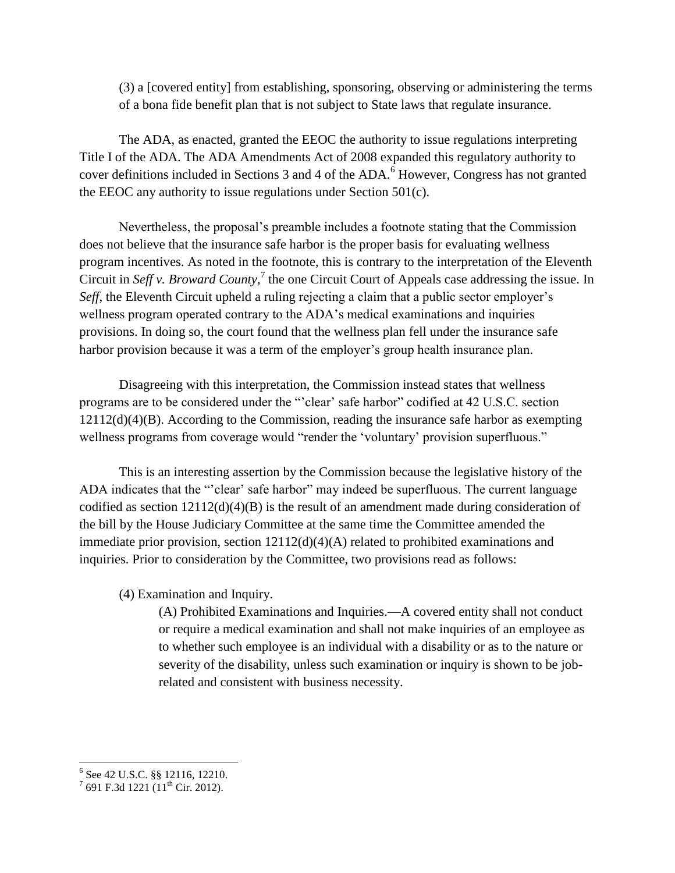(3) a [covered entity] from establishing, sponsoring, observing or administering the terms of a bona fide benefit plan that is not subject to State laws that regulate insurance.

The ADA, as enacted, granted the EEOC the authority to issue regulations interpreting Title I of the ADA. The ADA Amendments Act of 2008 expanded this regulatory authority to cover definitions included in Sections 3 and 4 of the ADA.<sup>6</sup> However, Congress has not granted the EEOC any authority to issue regulations under Section 501(c).

Nevertheless, the proposal's preamble includes a footnote stating that the Commission does not believe that the insurance safe harbor is the proper basis for evaluating wellness program incentives. As noted in the footnote, this is contrary to the interpretation of the Eleventh Circuit in *Seff v. Broward County*,<sup>7</sup> the one Circuit Court of Appeals case addressing the issue. In *Seff*, the Eleventh Circuit upheld a ruling rejecting a claim that a public sector employer's wellness program operated contrary to the ADA's medical examinations and inquiries provisions. In doing so, the court found that the wellness plan fell under the insurance safe harbor provision because it was a term of the employer's group health insurance plan.

Disagreeing with this interpretation, the Commission instead states that wellness programs are to be considered under the "'clear' safe harbor" codified at 42 U.S.C. section 12112(d)(4)(B). According to the Commission, reading the insurance safe harbor as exempting wellness programs from coverage would "render the 'voluntary' provision superfluous."

This is an interesting assertion by the Commission because the legislative history of the ADA indicates that the "'clear' safe harbor" may indeed be superfluous. The current language codified as section 12112(d)(4)(B) is the result of an amendment made during consideration of the bill by the House Judiciary Committee at the same time the Committee amended the immediate prior provision, section 12112(d)(4)(A) related to prohibited examinations and inquiries. Prior to consideration by the Committee, two provisions read as follows:

(4) Examination and Inquiry.

(A) Prohibited Examinations and Inquiries.—A covered entity shall not conduct or require a medical examination and shall not make inquiries of an employee as to whether such employee is an individual with a disability or as to the nature or severity of the disability, unless such examination or inquiry is shown to be jobrelated and consistent with business necessity.

<sup>&</sup>lt;sup>6</sup> See 42 U.S.C. §§ 12116, 12210.<br><sup>7</sup> 691 F.3d 1221 (11<sup>th</sup> Cir. 2012).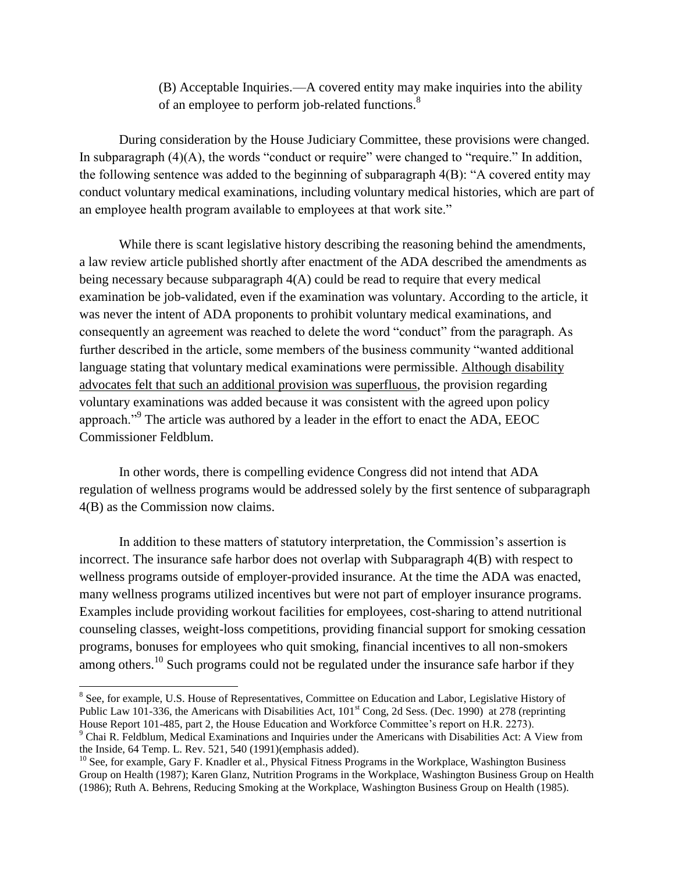(B) Acceptable Inquiries.—A covered entity may make inquiries into the ability of an employee to perform job-related functions.<sup>8</sup>

During consideration by the House Judiciary Committee, these provisions were changed. In subparagraph  $(4)(A)$ , the words "conduct or require" were changed to "require." In addition, the following sentence was added to the beginning of subparagraph 4(B): "A covered entity may conduct voluntary medical examinations, including voluntary medical histories, which are part of an employee health program available to employees at that work site."

While there is scant legislative history describing the reasoning behind the amendments, a law review article published shortly after enactment of the ADA described the amendments as being necessary because subparagraph 4(A) could be read to require that every medical examination be job-validated, even if the examination was voluntary. According to the article, it was never the intent of ADA proponents to prohibit voluntary medical examinations, and consequently an agreement was reached to delete the word "conduct" from the paragraph. As further described in the article, some members of the business community "wanted additional language stating that voluntary medical examinations were permissible. Although disability advocates felt that such an additional provision was superfluous, the provision regarding voluntary examinations was added because it was consistent with the agreed upon policy approach."<sup>9</sup> The article was authored by a leader in the effort to enact the ADA, EEOC Commissioner Feldblum.

In other words, there is compelling evidence Congress did not intend that ADA regulation of wellness programs would be addressed solely by the first sentence of subparagraph 4(B) as the Commission now claims.

In addition to these matters of statutory interpretation, the Commission's assertion is incorrect. The insurance safe harbor does not overlap with Subparagraph 4(B) with respect to wellness programs outside of employer-provided insurance. At the time the ADA was enacted, many wellness programs utilized incentives but were not part of employer insurance programs. Examples include providing workout facilities for employees, cost-sharing to attend nutritional counseling classes, weight-loss competitions, providing financial support for smoking cessation programs, bonuses for employees who quit smoking, financial incentives to all non-smokers among others.<sup>10</sup> Such programs could not be regulated under the insurance safe harbor if they

 $\overline{a}$ 

<sup>&</sup>lt;sup>8</sup> See, for example, U.S. House of Representatives, Committee on Education and Labor, Legislative History of Public Law 101-336, the Americans with Disabilities Act, 101<sup>st</sup> Cong, 2d Sess. (Dec. 1990) at 278 (reprinting House Report 101-485, part 2, the House Education and Workforce Committee's report on H.R. 2273).

<sup>9</sup> Chai R. Feldblum, Medical Examinations and Inquiries under the Americans with Disabilities Act: A View from the Inside, 64 Temp. L. Rev. 521, 540 (1991)(emphasis added).

 $10$  See, for example, Gary F. Knadler et al., Physical Fitness Programs in the Workplace, Washington Business Group on Health (1987); Karen Glanz, Nutrition Programs in the Workplace, Washington Business Group on Health (1986); Ruth A. Behrens, Reducing Smoking at the Workplace, Washington Business Group on Health (1985).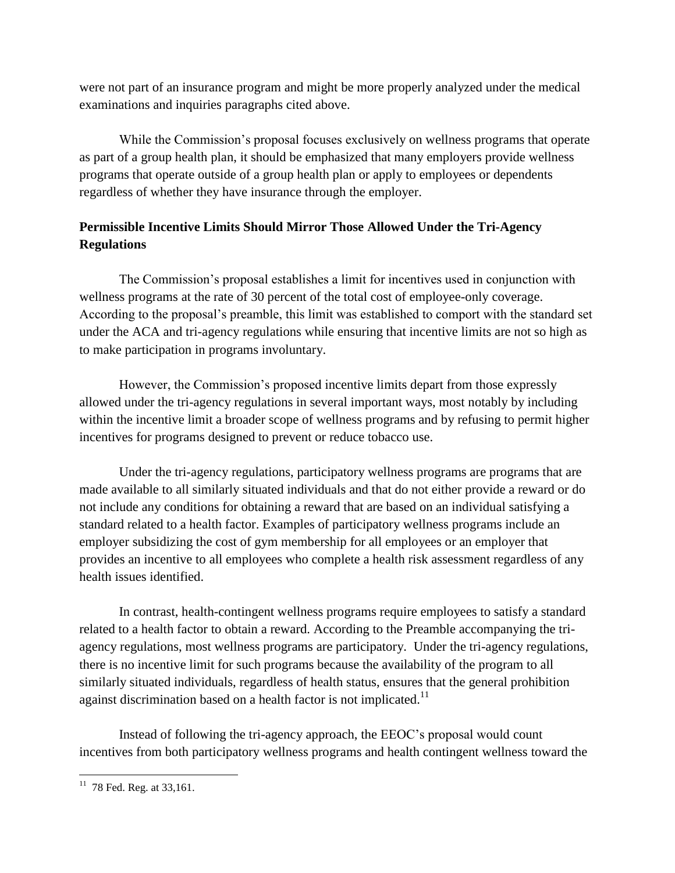were not part of an insurance program and might be more properly analyzed under the medical examinations and inquiries paragraphs cited above.

While the Commission's proposal focuses exclusively on wellness programs that operate as part of a group health plan, it should be emphasized that many employers provide wellness programs that operate outside of a group health plan or apply to employees or dependents regardless of whether they have insurance through the employer.

# **Permissible Incentive Limits Should Mirror Those Allowed Under the Tri-Agency Regulations**

The Commission's proposal establishes a limit for incentives used in conjunction with wellness programs at the rate of 30 percent of the total cost of employee-only coverage. According to the proposal's preamble, this limit was established to comport with the standard set under the ACA and tri-agency regulations while ensuring that incentive limits are not so high as to make participation in programs involuntary.

However, the Commission's proposed incentive limits depart from those expressly allowed under the tri-agency regulations in several important ways, most notably by including within the incentive limit a broader scope of wellness programs and by refusing to permit higher incentives for programs designed to prevent or reduce tobacco use.

Under the tri-agency regulations, participatory wellness programs are programs that are made available to all similarly situated individuals and that do not either provide a reward or do not include any conditions for obtaining a reward that are based on an individual satisfying a standard related to a health factor. Examples of participatory wellness programs include an employer subsidizing the cost of gym membership for all employees or an employer that provides an incentive to all employees who complete a health risk assessment regardless of any health issues identified.

In contrast, health-contingent wellness programs require employees to satisfy a standard related to a health factor to obtain a reward. According to the Preamble accompanying the triagency regulations, most wellness programs are participatory. Under the tri-agency regulations, there is no incentive limit for such programs because the availability of the program to all similarly situated individuals, regardless of health status, ensures that the general prohibition against discrimination based on a health factor is not implicated.<sup>11</sup>

Instead of following the tri-agency approach, the EEOC's proposal would count incentives from both participatory wellness programs and health contingent wellness toward the

 $11$  78 Fed. Reg. at 33,161.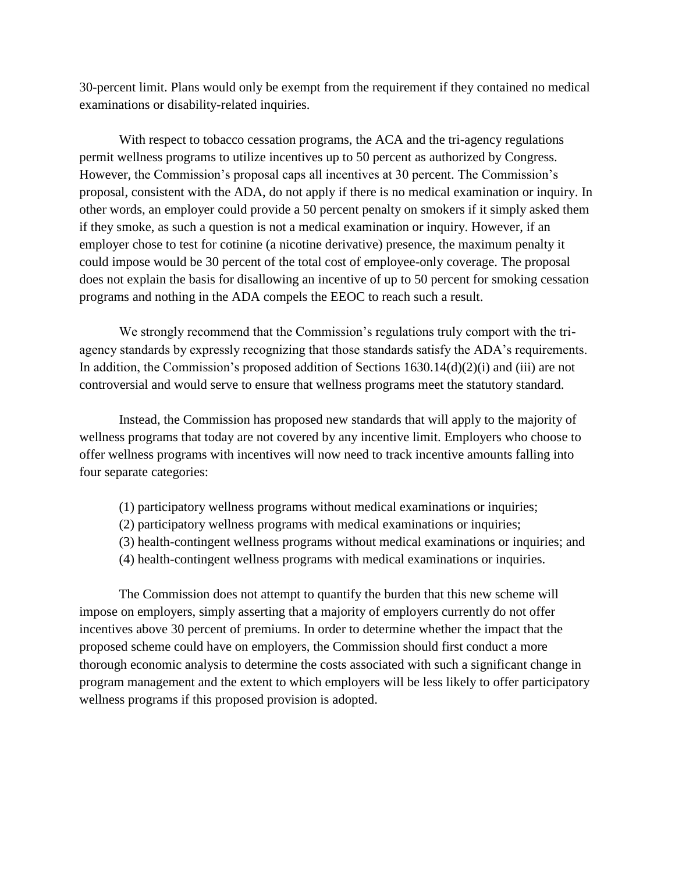30-percent limit. Plans would only be exempt from the requirement if they contained no medical examinations or disability-related inquiries.

With respect to tobacco cessation programs, the ACA and the tri-agency regulations permit wellness programs to utilize incentives up to 50 percent as authorized by Congress. However, the Commission's proposal caps all incentives at 30 percent. The Commission's proposal, consistent with the ADA, do not apply if there is no medical examination or inquiry. In other words, an employer could provide a 50 percent penalty on smokers if it simply asked them if they smoke, as such a question is not a medical examination or inquiry. However, if an employer chose to test for cotinine (a nicotine derivative) presence, the maximum penalty it could impose would be 30 percent of the total cost of employee-only coverage. The proposal does not explain the basis for disallowing an incentive of up to 50 percent for smoking cessation programs and nothing in the ADA compels the EEOC to reach such a result.

We strongly recommend that the Commission's regulations truly comport with the triagency standards by expressly recognizing that those standards satisfy the ADA's requirements. In addition, the Commission's proposed addition of Sections 1630.14(d)(2)(i) and (iii) are not controversial and would serve to ensure that wellness programs meet the statutory standard.

Instead, the Commission has proposed new standards that will apply to the majority of wellness programs that today are not covered by any incentive limit. Employers who choose to offer wellness programs with incentives will now need to track incentive amounts falling into four separate categories:

- (1) participatory wellness programs without medical examinations or inquiries;
- (2) participatory wellness programs with medical examinations or inquiries;
- (3) health-contingent wellness programs without medical examinations or inquiries; and
- (4) health-contingent wellness programs with medical examinations or inquiries.

The Commission does not attempt to quantify the burden that this new scheme will impose on employers, simply asserting that a majority of employers currently do not offer incentives above 30 percent of premiums. In order to determine whether the impact that the proposed scheme could have on employers, the Commission should first conduct a more thorough economic analysis to determine the costs associated with such a significant change in program management and the extent to which employers will be less likely to offer participatory wellness programs if this proposed provision is adopted.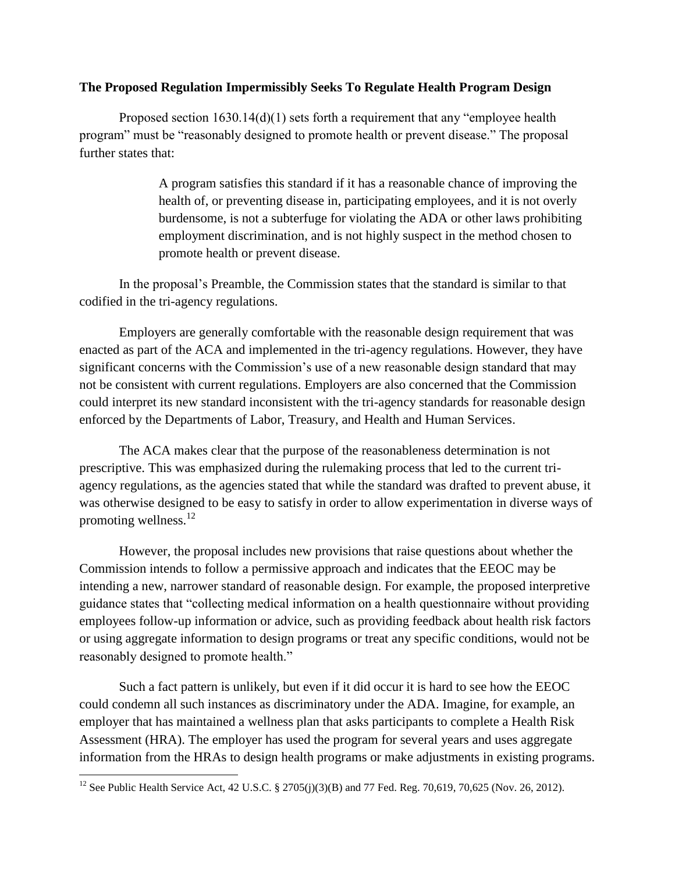### **The Proposed Regulation Impermissibly Seeks To Regulate Health Program Design**

Proposed section 1630.14(d)(1) sets forth a requirement that any "employee health program" must be "reasonably designed to promote health or prevent disease." The proposal further states that:

> A program satisfies this standard if it has a reasonable chance of improving the health of, or preventing disease in, participating employees, and it is not overly burdensome, is not a subterfuge for violating the ADA or other laws prohibiting employment discrimination, and is not highly suspect in the method chosen to promote health or prevent disease.

In the proposal's Preamble, the Commission states that the standard is similar to that codified in the tri-agency regulations.

Employers are generally comfortable with the reasonable design requirement that was enacted as part of the ACA and implemented in the tri-agency regulations. However, they have significant concerns with the Commission's use of a new reasonable design standard that may not be consistent with current regulations. Employers are also concerned that the Commission could interpret its new standard inconsistent with the tri-agency standards for reasonable design enforced by the Departments of Labor, Treasury, and Health and Human Services.

The ACA makes clear that the purpose of the reasonableness determination is not prescriptive. This was emphasized during the rulemaking process that led to the current triagency regulations, as the agencies stated that while the standard was drafted to prevent abuse, it was otherwise designed to be easy to satisfy in order to allow experimentation in diverse ways of promoting wellness. $^{12}$ 

However, the proposal includes new provisions that raise questions about whether the Commission intends to follow a permissive approach and indicates that the EEOC may be intending a new, narrower standard of reasonable design. For example, the proposed interpretive guidance states that "collecting medical information on a health questionnaire without providing employees follow-up information or advice, such as providing feedback about health risk factors or using aggregate information to design programs or treat any specific conditions, would not be reasonably designed to promote health."

Such a fact pattern is unlikely, but even if it did occur it is hard to see how the EEOC could condemn all such instances as discriminatory under the ADA. Imagine, for example, an employer that has maintained a wellness plan that asks participants to complete a Health Risk Assessment (HRA). The employer has used the program for several years and uses aggregate information from the HRAs to design health programs or make adjustments in existing programs.

 $\overline{\phantom{a}}$ 

<sup>&</sup>lt;sup>12</sup> See Public Health Service Act, 42 U.S.C. § 2705(j)(3)(B) and 77 Fed. Reg. 70,619, 70,625 (Nov. 26, 2012).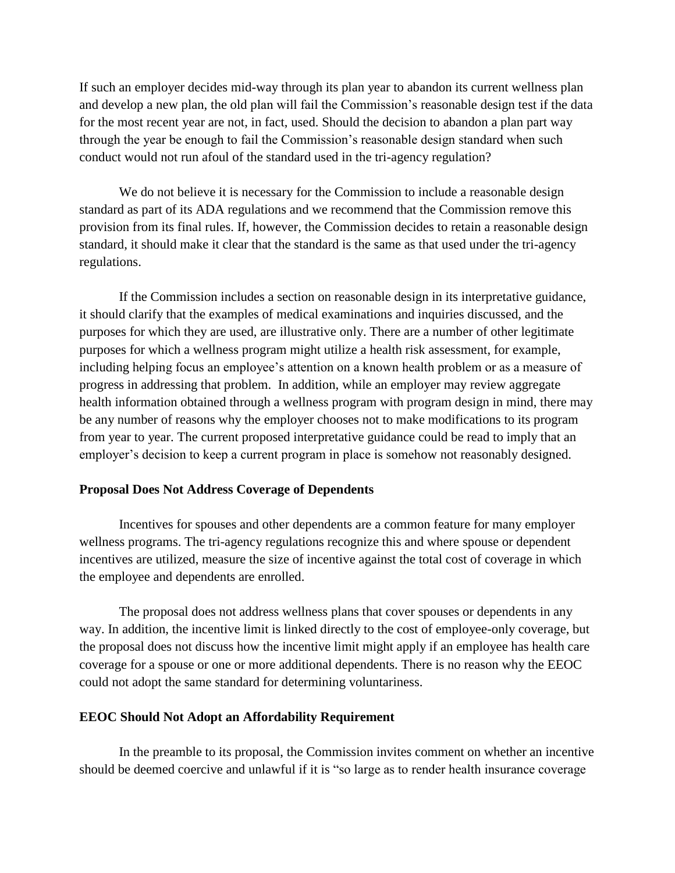If such an employer decides mid-way through its plan year to abandon its current wellness plan and develop a new plan, the old plan will fail the Commission's reasonable design test if the data for the most recent year are not, in fact, used. Should the decision to abandon a plan part way through the year be enough to fail the Commission's reasonable design standard when such conduct would not run afoul of the standard used in the tri-agency regulation?

We do not believe it is necessary for the Commission to include a reasonable design standard as part of its ADA regulations and we recommend that the Commission remove this provision from its final rules. If, however, the Commission decides to retain a reasonable design standard, it should make it clear that the standard is the same as that used under the tri-agency regulations.

If the Commission includes a section on reasonable design in its interpretative guidance, it should clarify that the examples of medical examinations and inquiries discussed, and the purposes for which they are used, are illustrative only. There are a number of other legitimate purposes for which a wellness program might utilize a health risk assessment, for example, including helping focus an employee's attention on a known health problem or as a measure of progress in addressing that problem. In addition, while an employer may review aggregate health information obtained through a wellness program with program design in mind, there may be any number of reasons why the employer chooses not to make modifications to its program from year to year. The current proposed interpretative guidance could be read to imply that an employer's decision to keep a current program in place is somehow not reasonably designed.

#### **Proposal Does Not Address Coverage of Dependents**

Incentives for spouses and other dependents are a common feature for many employer wellness programs. The tri-agency regulations recognize this and where spouse or dependent incentives are utilized, measure the size of incentive against the total cost of coverage in which the employee and dependents are enrolled.

The proposal does not address wellness plans that cover spouses or dependents in any way. In addition, the incentive limit is linked directly to the cost of employee-only coverage, but the proposal does not discuss how the incentive limit might apply if an employee has health care coverage for a spouse or one or more additional dependents. There is no reason why the EEOC could not adopt the same standard for determining voluntariness.

### **EEOC Should Not Adopt an Affordability Requirement**

In the preamble to its proposal, the Commission invites comment on whether an incentive should be deemed coercive and unlawful if it is "so large as to render health insurance coverage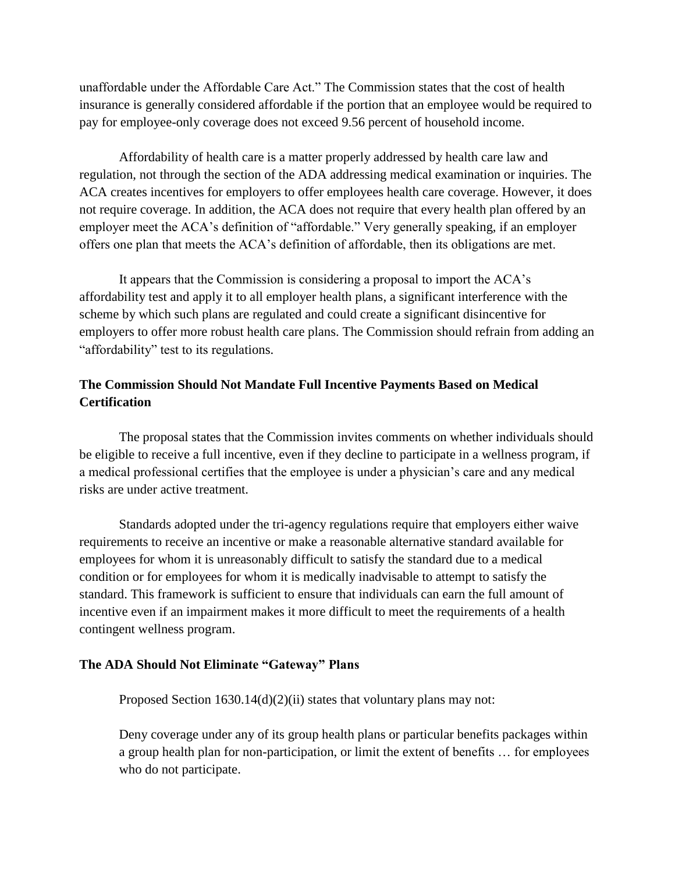unaffordable under the Affordable Care Act." The Commission states that the cost of health insurance is generally considered affordable if the portion that an employee would be required to pay for employee-only coverage does not exceed 9.56 percent of household income.

Affordability of health care is a matter properly addressed by health care law and regulation, not through the section of the ADA addressing medical examination or inquiries. The ACA creates incentives for employers to offer employees health care coverage. However, it does not require coverage. In addition, the ACA does not require that every health plan offered by an employer meet the ACA's definition of "affordable." Very generally speaking, if an employer offers one plan that meets the ACA's definition of affordable, then its obligations are met.

It appears that the Commission is considering a proposal to import the ACA's affordability test and apply it to all employer health plans, a significant interference with the scheme by which such plans are regulated and could create a significant disincentive for employers to offer more robust health care plans. The Commission should refrain from adding an "affordability" test to its regulations.

# **The Commission Should Not Mandate Full Incentive Payments Based on Medical Certification**

The proposal states that the Commission invites comments on whether individuals should be eligible to receive a full incentive, even if they decline to participate in a wellness program, if a medical professional certifies that the employee is under a physician's care and any medical risks are under active treatment.

Standards adopted under the tri-agency regulations require that employers either waive requirements to receive an incentive or make a reasonable alternative standard available for employees for whom it is unreasonably difficult to satisfy the standard due to a medical condition or for employees for whom it is medically inadvisable to attempt to satisfy the standard. This framework is sufficient to ensure that individuals can earn the full amount of incentive even if an impairment makes it more difficult to meet the requirements of a health contingent wellness program.

### **The ADA Should Not Eliminate "Gateway" Plans**

Proposed Section 1630.14(d)(2)(ii) states that voluntary plans may not:

Deny coverage under any of its group health plans or particular benefits packages within a group health plan for non-participation, or limit the extent of benefits … for employees who do not participate.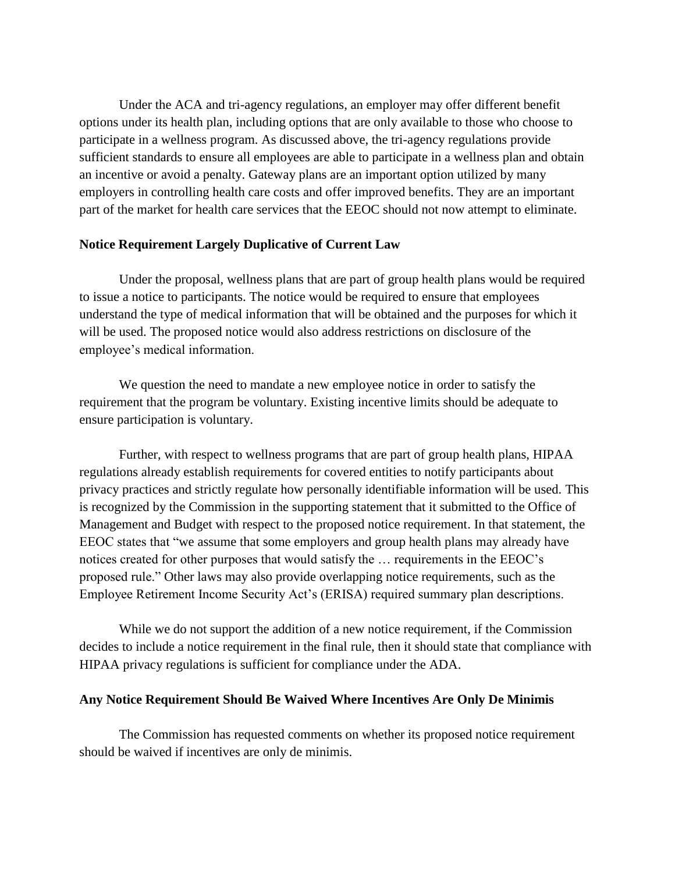Under the ACA and tri-agency regulations, an employer may offer different benefit options under its health plan, including options that are only available to those who choose to participate in a wellness program. As discussed above, the tri-agency regulations provide sufficient standards to ensure all employees are able to participate in a wellness plan and obtain an incentive or avoid a penalty. Gateway plans are an important option utilized by many employers in controlling health care costs and offer improved benefits. They are an important part of the market for health care services that the EEOC should not now attempt to eliminate.

### **Notice Requirement Largely Duplicative of Current Law**

Under the proposal, wellness plans that are part of group health plans would be required to issue a notice to participants. The notice would be required to ensure that employees understand the type of medical information that will be obtained and the purposes for which it will be used. The proposed notice would also address restrictions on disclosure of the employee's medical information.

We question the need to mandate a new employee notice in order to satisfy the requirement that the program be voluntary. Existing incentive limits should be adequate to ensure participation is voluntary.

Further, with respect to wellness programs that are part of group health plans, HIPAA regulations already establish requirements for covered entities to notify participants about privacy practices and strictly regulate how personally identifiable information will be used. This is recognized by the Commission in the supporting statement that it submitted to the Office of Management and Budget with respect to the proposed notice requirement. In that statement, the EEOC states that "we assume that some employers and group health plans may already have notices created for other purposes that would satisfy the … requirements in the EEOC's proposed rule." Other laws may also provide overlapping notice requirements, such as the Employee Retirement Income Security Act's (ERISA) required summary plan descriptions.

While we do not support the addition of a new notice requirement, if the Commission decides to include a notice requirement in the final rule, then it should state that compliance with HIPAA privacy regulations is sufficient for compliance under the ADA.

### **Any Notice Requirement Should Be Waived Where Incentives Are Only De Minimis**

The Commission has requested comments on whether its proposed notice requirement should be waived if incentives are only de minimis.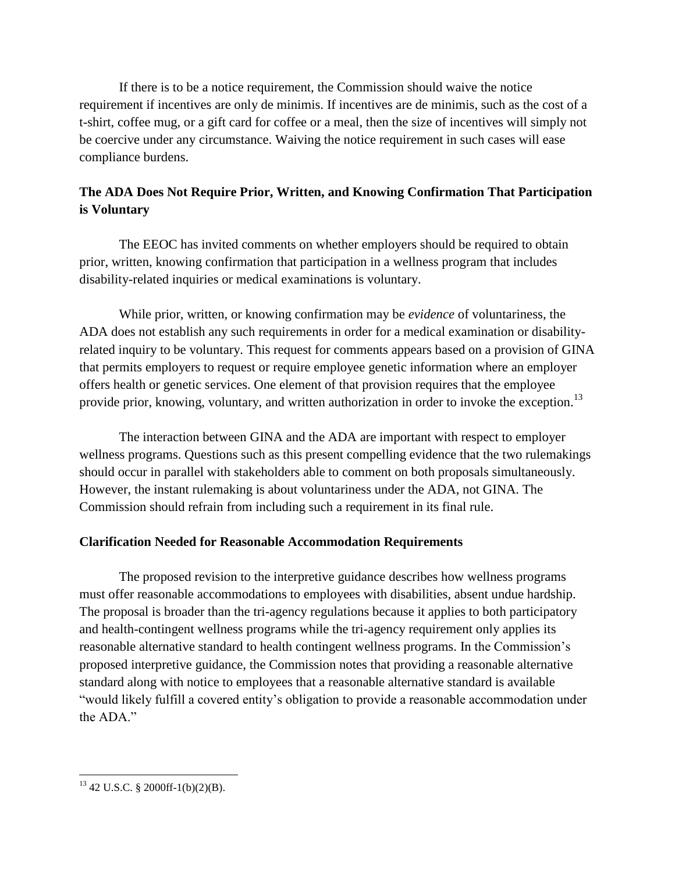If there is to be a notice requirement, the Commission should waive the notice requirement if incentives are only de minimis. If incentives are de minimis, such as the cost of a t-shirt, coffee mug, or a gift card for coffee or a meal, then the size of incentives will simply not be coercive under any circumstance. Waiving the notice requirement in such cases will ease compliance burdens.

# **The ADA Does Not Require Prior, Written, and Knowing Confirmation That Participation is Voluntary**

The EEOC has invited comments on whether employers should be required to obtain prior, written, knowing confirmation that participation in a wellness program that includes disability-related inquiries or medical examinations is voluntary.

While prior, written, or knowing confirmation may be *evidence* of voluntariness, the ADA does not establish any such requirements in order for a medical examination or disabilityrelated inquiry to be voluntary. This request for comments appears based on a provision of GINA that permits employers to request or require employee genetic information where an employer offers health or genetic services. One element of that provision requires that the employee provide prior, knowing, voluntary, and written authorization in order to invoke the exception.<sup>13</sup>

The interaction between GINA and the ADA are important with respect to employer wellness programs. Questions such as this present compelling evidence that the two rulemakings should occur in parallel with stakeholders able to comment on both proposals simultaneously. However, the instant rulemaking is about voluntariness under the ADA, not GINA. The Commission should refrain from including such a requirement in its final rule.

# **Clarification Needed for Reasonable Accommodation Requirements**

The proposed revision to the interpretive guidance describes how wellness programs must offer reasonable accommodations to employees with disabilities, absent undue hardship. The proposal is broader than the tri-agency regulations because it applies to both participatory and health-contingent wellness programs while the tri-agency requirement only applies its reasonable alternative standard to health contingent wellness programs. In the Commission's proposed interpretive guidance, the Commission notes that providing a reasonable alternative standard along with notice to employees that a reasonable alternative standard is available "would likely fulfill a covered entity's obligation to provide a reasonable accommodation under the ADA"

 $\overline{\phantom{a}}$  $13$  42 U.S.C. § 2000ff-1(b)(2)(B).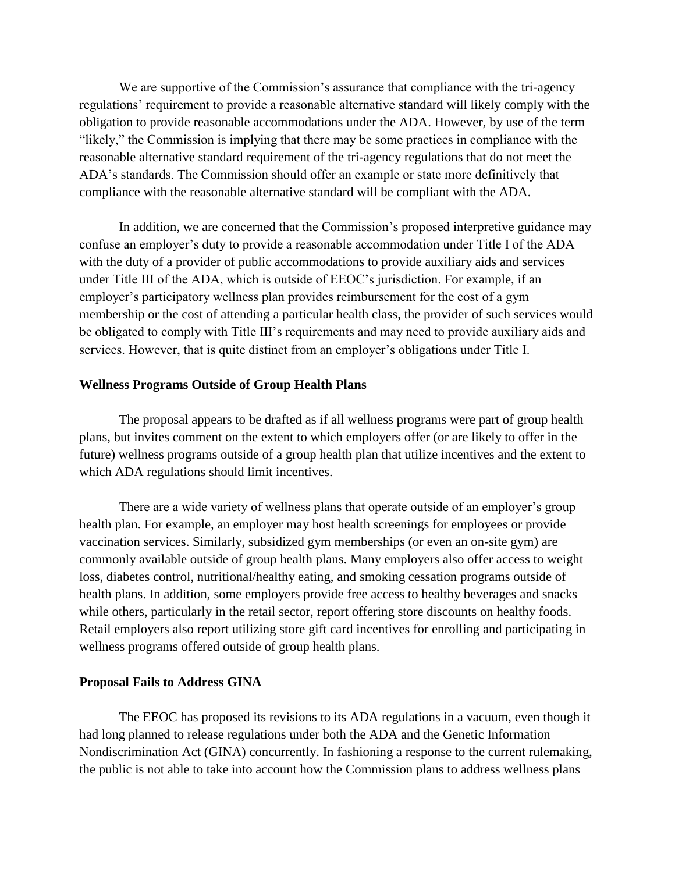We are supportive of the Commission's assurance that compliance with the tri-agency regulations' requirement to provide a reasonable alternative standard will likely comply with the obligation to provide reasonable accommodations under the ADA. However, by use of the term "likely," the Commission is implying that there may be some practices in compliance with the reasonable alternative standard requirement of the tri-agency regulations that do not meet the ADA's standards. The Commission should offer an example or state more definitively that compliance with the reasonable alternative standard will be compliant with the ADA.

In addition, we are concerned that the Commission's proposed interpretive guidance may confuse an employer's duty to provide a reasonable accommodation under Title I of the ADA with the duty of a provider of public accommodations to provide auxiliary aids and services under Title III of the ADA, which is outside of EEOC's jurisdiction. For example, if an employer's participatory wellness plan provides reimbursement for the cost of a gym membership or the cost of attending a particular health class, the provider of such services would be obligated to comply with Title III's requirements and may need to provide auxiliary aids and services. However, that is quite distinct from an employer's obligations under Title I.

### **Wellness Programs Outside of Group Health Plans**

The proposal appears to be drafted as if all wellness programs were part of group health plans, but invites comment on the extent to which employers offer (or are likely to offer in the future) wellness programs outside of a group health plan that utilize incentives and the extent to which ADA regulations should limit incentives.

There are a wide variety of wellness plans that operate outside of an employer's group health plan. For example, an employer may host health screenings for employees or provide vaccination services. Similarly, subsidized gym memberships (or even an on-site gym) are commonly available outside of group health plans. Many employers also offer access to weight loss, diabetes control, nutritional/healthy eating, and smoking cessation programs outside of health plans. In addition, some employers provide free access to healthy beverages and snacks while others, particularly in the retail sector, report offering store discounts on healthy foods. Retail employers also report utilizing store gift card incentives for enrolling and participating in wellness programs offered outside of group health plans.

### **Proposal Fails to Address GINA**

The EEOC has proposed its revisions to its ADA regulations in a vacuum, even though it had long planned to release regulations under both the ADA and the Genetic Information Nondiscrimination Act (GINA) concurrently. In fashioning a response to the current rulemaking, the public is not able to take into account how the Commission plans to address wellness plans